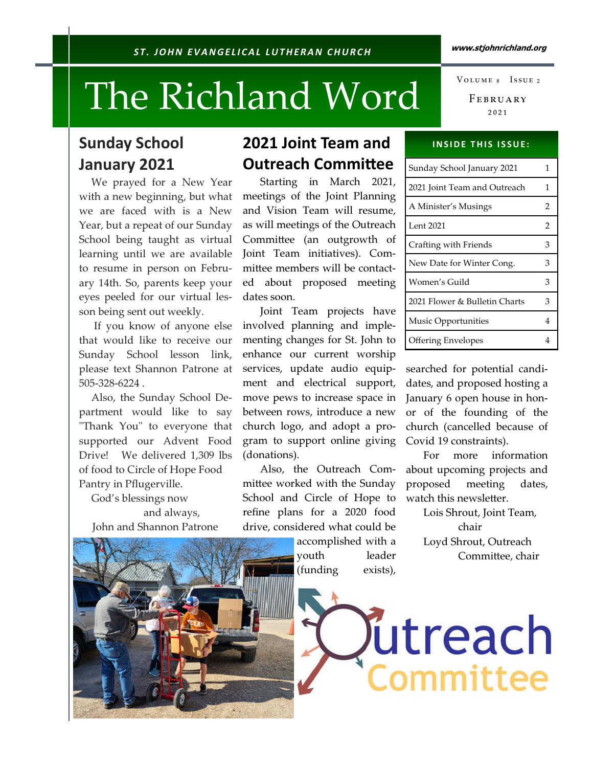# The Richland Word

# Sunday School January 2021

 We prayed for a New Year with a new beginning, but what we are faced with is a New Year, but a repeat of our Sunday School being taught as virtual learning until we are available to resume in person on February 14th. So, parents keep your eyes peeled for our virtual lesson being sent out weekly.

 If you know of anyone else that would like to receive our Sunday School lesson link, please text Shannon Patrone at 505-328-6224 .

 Also, the Sunday School Department would like to say "Thank You" to everyone that supported our Advent Food Drive! We delivered 1,309 lbs of food to Circle of Hope Food Pantry in Pflugerville.

 God's blessings now and always, John and Shannon Patrone

# 2021 Joint Team and **Outreach Committee**

 Starting in March 2021, meetings of the Joint Planning and Vision Team will resume, as will meetings of the Outreach Committee (an outgrowth of Joint Team initiatives). Committee members will be contacted about proposed meeting dates soon.

 Joint Team projects have involved planning and implementing changes for St. John to enhance our current worship services, update audio equipment and electrical support, move pews to increase space in between rows, introduce a new church logo, and adopt a program to support online giving (donations).

 Also, the Outreach Committee worked with the Sunday School and Circle of Hope to refine plans for a 2020 food drive, considered what could be

> accomplished with a youth leader (funding exists),

FEBRUARY ₂₀₂₁ VOLUME 8 ISSUE 2

#### **INSIDE THIS ISSUE:**

| Sunday School January 2021    | 1 |
|-------------------------------|---|
| 2021 Joint Team and Outreach  | 1 |
| A Minister's Musings          | 2 |
| Lent 2021                     | 2 |
| Crafting with Friends         | 3 |
| New Date for Winter Cong.     | З |
| Women's Guild                 | 3 |
| 2021 Flower & Bulletin Charts | 3 |
| Music Opportunities           | 4 |
| <b>Offering Envelopes</b>     |   |

searched for potential candidates, and proposed hosting a January 6 open house in honor of the founding of the church (cancelled because of Covid 19 constraints).

 For more information about upcoming projects and proposed meeting dates, watch this newsletter.

> Lois Shrout, Joint Team, chair Loyd Shrout, Outreach

futreach

Committee, chair



#### www.stjohnrichland.org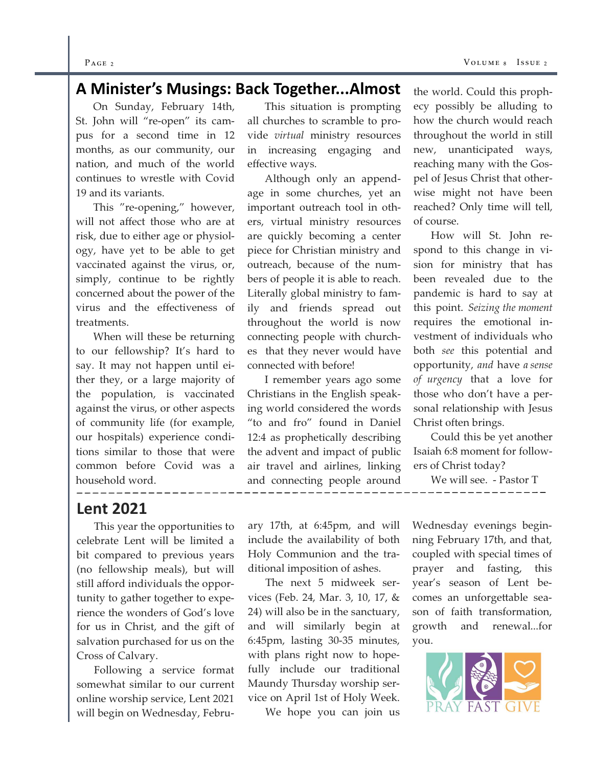#### $P_{\text{AGE 2}}$  Vo

#### A Minister's Musings: Back Together...Almost

 On Sunday, February 14th, St. John will "re-open" its campus for a second time in 12 months, as our community, our nation, and much of the world continues to wrestle with Covid 19 and its variants.

 This "re-opening," however, will not affect those who are at risk, due to either age or physiology, have yet to be able to get vaccinated against the virus, or, simply, continue to be rightly concerned about the power of the virus and the effectiveness of treatments.

 When will these be returning to our fellowship? It's hard to say. It may not happen until either they, or a large majority of the population, is vaccinated against the virus, or other aspects of community life (for example, our hospitals) experience conditions similar to those that were common before Covid was a household word.

 This situation is prompting all churches to scramble to provide virtual ministry resources in increasing engaging and effective ways.

 Although only an appendage in some churches, yet an important outreach tool in others, virtual ministry resources are quickly becoming a center piece for Christian ministry and outreach, because of the numbers of people it is able to reach. Literally global ministry to family and friends spread out throughout the world is now connecting people with churches that they never would have connected with before!

 I remember years ago some Christians in the English speaking world considered the words "to and fro" found in Daniel 12:4 as prophetically describing the advent and impact of public air travel and airlines, linking and connecting people around

the world. Could this prophecy possibly be alluding to how the church would reach throughout the world in still new, unanticipated ways, reaching many with the Gospel of Jesus Christ that otherwise might not have been reached? Only time will tell, of course.

 How will St. John respond to this change in vision for ministry that has been revealed due to the pandemic is hard to say at this point. Seizing the moment requires the emotional investment of individuals who both see this potential and opportunity, and have a sense of urgency that a love for those who don't have a personal relationship with Jesus Christ often brings.

 Could this be yet another Isaiah 6:8 moment for followers of Christ today?

We will see. - Pastor T

# Lent 2021

 This year the opportunities to celebrate Lent will be limited a bit compared to previous years (no fellowship meals), but will still afford individuals the opportunity to gather together to experience the wonders of God's love for us in Christ, and the gift of salvation purchased for us on the Cross of Calvary.

 Following a service format somewhat similar to our current online worship service, Lent 2021 will begin on Wednesday, February 17th, at 6:45pm, and will include the availability of both Holy Communion and the traditional imposition of ashes.

 The next 5 midweek services (Feb. 24, Mar. 3, 10, 17, & 24) will also be in the sanctuary, and will similarly begin at 6:45pm, lasting 30-35 minutes, with plans right now to hopefully include our traditional Maundy Thursday worship service on April 1st of Holy Week.

We hope you can join us

Wednesday evenings beginning February 17th, and that, coupled with special times of prayer and fasting, this year's season of Lent becomes an unforgettable season of faith transformation, growth and renewal...for you.

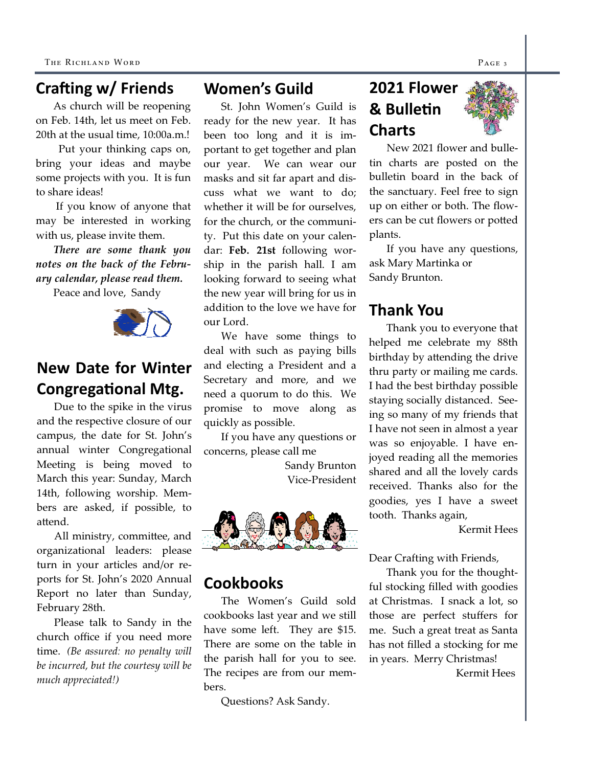# Crafting  $w/$  Friends

As church will be reopening on Feb. 14th, let us meet on Feb. 20th at the usual time, 10:00a.m.!

 Put your thinking caps on, bring your ideas and maybe some projects with you. It is fun to share ideas!

 If you know of anyone that may be interested in working with us, please invite them.

 There are some thank you notes on the back of the February calendar, please read them.

Peace and love, Sandy



# New Date for Winter Congregational Mtg.

Due to the spike in the virus and the respective closure of our campus, the date for St. John's annual winter Congregational Meeting is being moved to March this year: Sunday, March 14th, following worship. Members are asked, if possible, to attend.

All ministry, committee, and organizational leaders: please turn in your articles and/or reports for St. John's 2020 Annual Report no later than Sunday, February 28th.

 Please talk to Sandy in the church office if you need more time. (Be assured: no penalty will be incurred, but the courtesy will be much appreciated!)

### Women's Guild

St. John Women's Guild is ready for the new year. It has been too long and it is important to get together and plan our year. We can wear our masks and sit far apart and discuss what we want to do; whether it will be for ourselves, for the church, or the community. Put this date on your calendar: Feb. 21st following worship in the parish hall. I am looking forward to seeing what the new year will bring for us in addition to the love we have for our Lord.

 We have some things to deal with such as paying bills and electing a President and a Secretary and more, and we need a quorum to do this. We promise to move along as quickly as possible.

 If you have any questions or concerns, please call me

> Sandy Brunton Vice-President



# Cookbooks

The Women's Guild sold cookbooks last year and we still have some left. They are \$15. There are some on the table in the parish hall for you to see. The recipes are from our members.

Questions? Ask Sandy.

# 2021 Flower & Bulletin Charts



New 2021 flower and bulletin charts are posted on the bulletin board in the back of the sanctuary. Feel free to sign up on either or both. The flowers can be cut flowers or potted plants.

 If you have any questions, ask Mary Martinka or Sandy Brunton.

### Thank You

Thank you to everyone that helped me celebrate my 88th birthday by attending the drive thru party or mailing me cards. I had the best birthday possible staying socially distanced. Seeing so many of my friends that I have not seen in almost a year was so enjoyable. I have enjoyed reading all the memories shared and all the lovely cards received. Thanks also for the goodies, yes I have a sweet tooth. Thanks again,

Kermit Hees

Dear Crafting with Friends,

 Thank you for the thoughtful stocking filled with goodies at Christmas. I snack a lot, so those are perfect stuffers for me. Such a great treat as Santa has not filled a stocking for me in years. Merry Christmas!

Kermit Hees